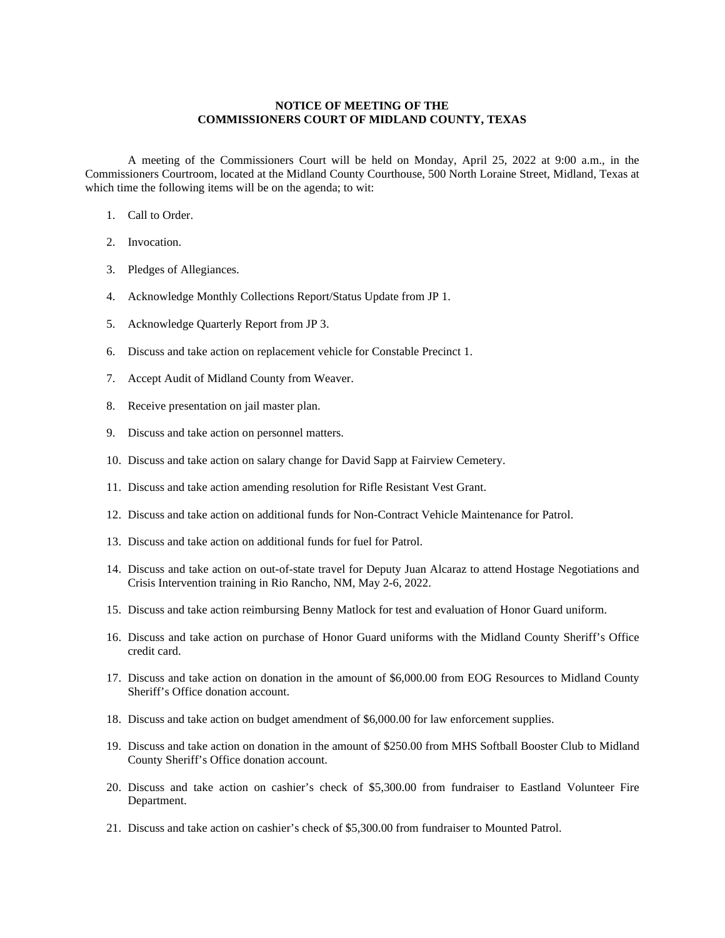## **NOTICE OF MEETING OF THE COMMISSIONERS COURT OF MIDLAND COUNTY, TEXAS**

A meeting of the Commissioners Court will be held on Monday, April 25, 2022 at 9:00 a.m., in the Commissioners Courtroom, located at the Midland County Courthouse, 500 North Loraine Street, Midland, Texas at which time the following items will be on the agenda; to wit:

- 1. Call to Order.
- 2. Invocation.
- 3. Pledges of Allegiances.
- 4. Acknowledge Monthly Collections Report/Status Update from JP 1.
- 5. Acknowledge Quarterly Report from JP 3.
- 6. Discuss and take action on replacement vehicle for Constable Precinct 1.
- 7. Accept Audit of Midland County from Weaver.
- 8. Receive presentation on jail master plan.
- 9. Discuss and take action on personnel matters.
- 10. Discuss and take action on salary change for David Sapp at Fairview Cemetery.
- 11. Discuss and take action amending resolution for Rifle Resistant Vest Grant.
- 12. Discuss and take action on additional funds for Non-Contract Vehicle Maintenance for Patrol.
- 13. Discuss and take action on additional funds for fuel for Patrol.
- 14. Discuss and take action on out-of-state travel for Deputy Juan Alcaraz to attend Hostage Negotiations and Crisis Intervention training in Rio Rancho, NM, May 2-6, 2022.
- 15. Discuss and take action reimbursing Benny Matlock for test and evaluation of Honor Guard uniform.
- 16. Discuss and take action on purchase of Honor Guard uniforms with the Midland County Sheriff's Office credit card.
- 17. Discuss and take action on donation in the amount of \$6,000.00 from EOG Resources to Midland County Sheriff's Office donation account.
- 18. Discuss and take action on budget amendment of \$6,000.00 for law enforcement supplies.
- 19. Discuss and take action on donation in the amount of \$250.00 from MHS Softball Booster Club to Midland County Sheriff's Office donation account.
- 20. Discuss and take action on cashier's check of \$5,300.00 from fundraiser to Eastland Volunteer Fire Department.
- 21. Discuss and take action on cashier's check of \$5,300.00 from fundraiser to Mounted Patrol.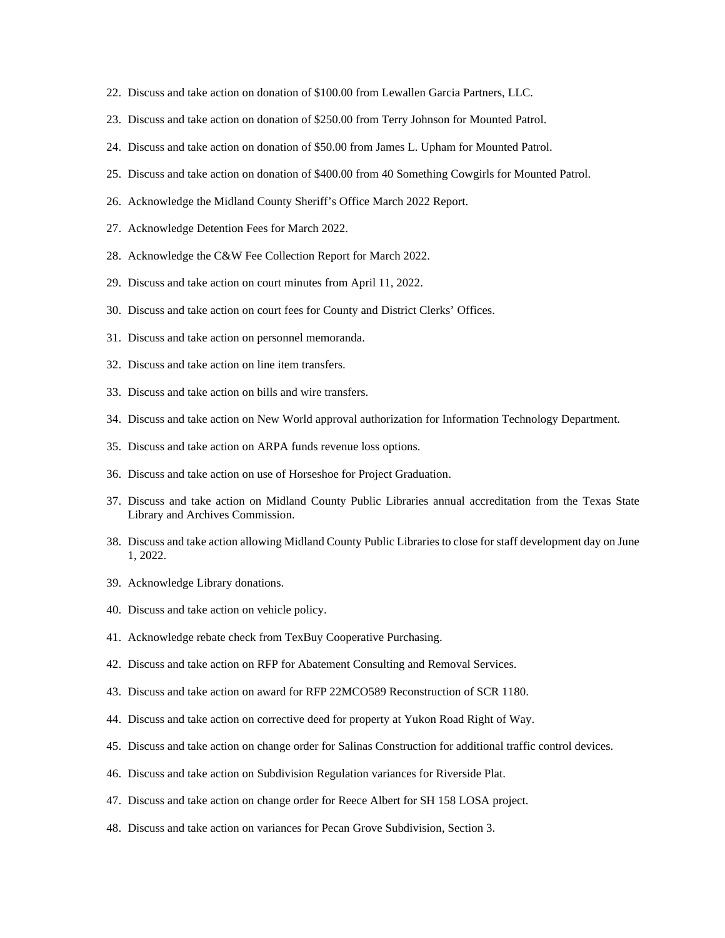- 22. Discuss and take action on donation of \$100.00 from Lewallen Garcia Partners, LLC.
- 23. Discuss and take action on donation of \$250.00 from Terry Johnson for Mounted Patrol.
- 24. Discuss and take action on donation of \$50.00 from James L. Upham for Mounted Patrol.
- 25. Discuss and take action on donation of \$400.00 from 40 Something Cowgirls for Mounted Patrol.
- 26. Acknowledge the Midland County Sheriff's Office March 2022 Report.
- 27. Acknowledge Detention Fees for March 2022.
- 28. Acknowledge the C&W Fee Collection Report for March 2022.
- 29. Discuss and take action on court minutes from April 11, 2022.
- 30. Discuss and take action on court fees for County and District Clerks' Offices.
- 31. Discuss and take action on personnel memoranda.
- 32. Discuss and take action on line item transfers.
- 33. Discuss and take action on bills and wire transfers.
- 34. Discuss and take action on New World approval authorization for Information Technology Department.
- 35. Discuss and take action on ARPA funds revenue loss options.
- 36. Discuss and take action on use of Horseshoe for Project Graduation.
- 37. Discuss and take action on Midland County Public Libraries annual accreditation from the Texas State Library and Archives Commission.
- 38. Discuss and take action allowing Midland County Public Libraries to close for staff development day on June 1, 2022.
- 39. Acknowledge Library donations.
- 40. Discuss and take action on vehicle policy.
- 41. Acknowledge rebate check from TexBuy Cooperative Purchasing.
- 42. Discuss and take action on RFP for Abatement Consulting and Removal Services.
- 43. Discuss and take action on award for RFP 22MCO589 Reconstruction of SCR 1180.
- 44. Discuss and take action on corrective deed for property at Yukon Road Right of Way.
- 45. Discuss and take action on change order for Salinas Construction for additional traffic control devices.
- 46. Discuss and take action on Subdivision Regulation variances for Riverside Plat.
- 47. Discuss and take action on change order for Reece Albert for SH 158 LOSA project.
- 48. Discuss and take action on variances for Pecan Grove Subdivision, Section 3.